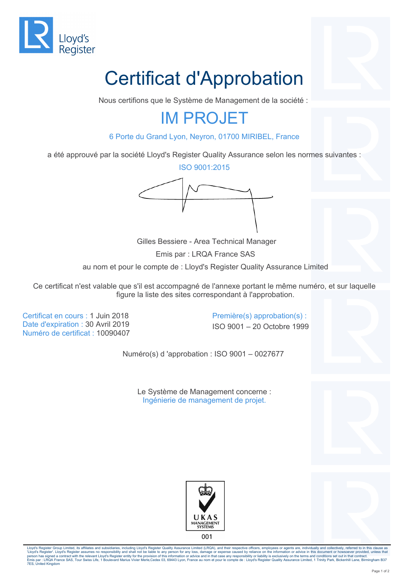

# Certificat d'Approbation

Nous certifions que le Système de Management de la société :

## IM PROJET

6 Porte du Grand Lyon, Neyron, 01700 MIRIBEL, France

a été approuvé par la société Lloyd's Register Quality Assurance selon les normes suivantes :

ISO 9001:2015



 Gilles Bessiere - Area Technical Manager Emis par : LRQA France SAS au nom et pour le compte de : Lloyd's Register Quality Assurance Limited

Ce certificat n'est valable que s'il est accompagné de l'annexe portant le même numéro, et sur laquelle figure la liste des sites correspondant à l'approbation.

Certificat en cours : 1 Juin 2018 Première(s) approbation(s) : Date d'expiration : 30 Avril 2019 **ISO 9001** – ISO 9001 – 20 Octobre 1999 Numéro de certificat : 10090407

Numéro(s) d 'approbation : ISO 9001 – 0027677

Le Système de Management concerne : Ingénierie de management de projet.







001

Lloyd's Register Group Limited, its affiliates and subsidiaries, including Lloyd's Register Quality Assurance Limited (LRQA), and their respective officers, employees or agents are, individually and collectively, referred 'Lloyd's Register'. Lloyd's Register assumes no responsibility and shall not be liable to any person for any loss, damage or expense caused by reliance on the information or advice in this document or howsoever provided, u 7ES, United Kingdom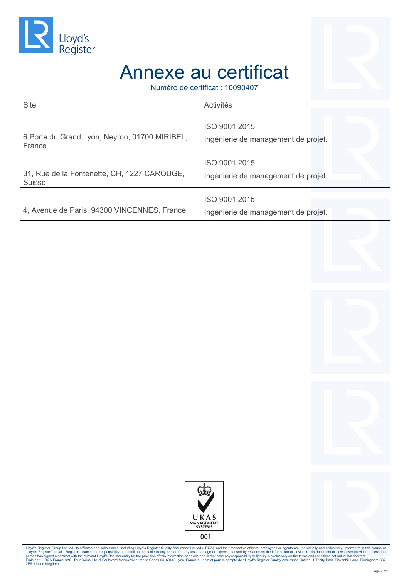

## Annexe au certificat

Numéro de certificat : 10090407

| <b>Site</b>                                   | Activités                                            |
|-----------------------------------------------|------------------------------------------------------|
| 6 Porte du Grand Lyon, Neyron, 01700 MIRIBEL, | ISO 9001:2015                                        |
| France                                        | Ingénierie de management de projet.                  |
| 31, Rue de la Fontenette, CH, 1227 CAROUGE,   | ISO 9001:2015                                        |
| <b>Suisse</b>                                 | Ingénierie de management de projet.                  |
| 4, Avenue de Paris, 94300 VINCENNES, France   | ISO 9001:2015<br>Ingénierie de management de projet. |



001

Lloyd's Register Group Limited, its affiliates and subsidiaries, including Lloyd's Register Quality Assurance Limited (LRQA), and their respective officence in megents are, includually and collectively, referred to it this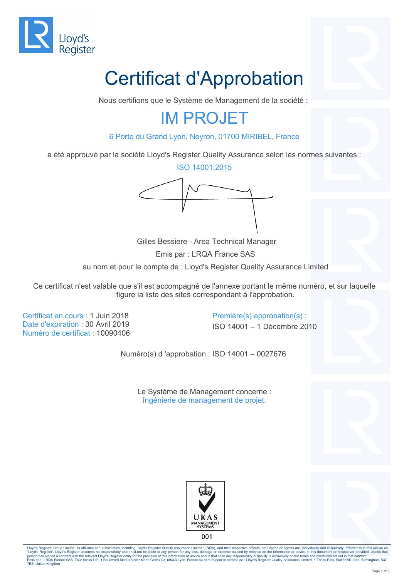

# Certificat d'Approbation

Nous certifions que le Système de Management de la société :

## IM PROJET

6 Porte du Grand Lyon, Neyron, 01700 MIRIBEL, France

a été approuvé par la société Lloyd's Register Quality Assurance selon les normes suivantes :

ISO 14001:2015



 Gilles Bessiere - Area Technical Manager Emis par : LRQA France SAS au nom et pour le compte de : Lloyd's Register Quality Assurance Limited

Ce certificat n'est valable que s'il est accompagné de l'annexe portant le même numéro, et sur laquelle figure la liste des sites correspondant à l'approbation.

Certificat en cours : 1 Juin 2018 Première(s) approbation(s) : Date d'expiration : 30 Avril 2019 **ISO 14001** ISO 14001 – 1 Décembre 2010 Numéro de certificat : 10090406

Numéro(s) d 'approbation : ISO 14001 – 0027676

Le Système de Management concerne : Ingénierie de management de projet.







001

Lloyd's Register Group Limited, its affiliates and subsidiaries, including Lloyd's Register Quality Assurance Limited (LRQA), and their respective officers, employees or agents are, individually and collectively, referred 'Lloyd's Register'. Lloyd's Register assumes no responsibility and shall not be liable to any person for any loss, damage or expense caused by reliance on the information or advice in this document or howsoever provided, u 7ES, United Kingdom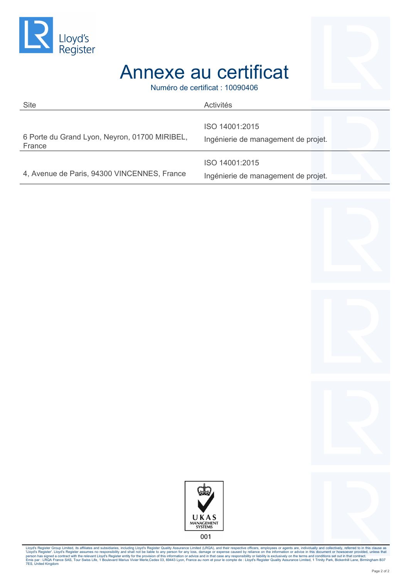



## Annexe au certificat

Numéro de certificat : 10090406

| <b>Site</b>                                             | Activités                                             |
|---------------------------------------------------------|-------------------------------------------------------|
| 6 Porte du Grand Lyon, Neyron, 01700 MIRIBEL,<br>France | ISO 14001:2015<br>Ingénierie de management de projet. |
| 4, Avenue de Paris, 94300 VINCENNES, France             | ISO 14001:2015<br>Ingénierie de management de projet. |







001

Lloyd's Register Group Limited, its affiliates and subsidiaries, including Lloyd's Register Quality Assurance Limited (LRQA), and their respective officence in megents are, includually and collectively, referred to it this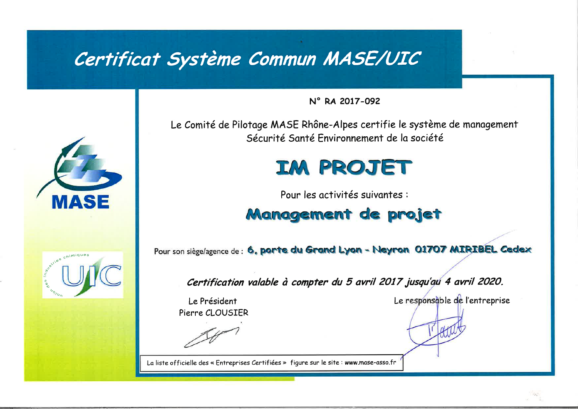## Certificat Système Commun MASE/UIC



stries chimiques

### N° RA 2017-092

Le Comité de Pilotage MASE Rhône-Alpes certifie le système de management Sécurité Santé Fnvironnement de la société

# **IM PROJET**

Pour les activités suivantes :

## **Management de projet**

Pour son siège/agence de : 6, porte du Grand Lyon - Neyron 01707 MIRIBEL Cedex

Certification valable à compter du 5 avril 2017 jusqu'au 4 avril 2020.

Le Président Pierre CLOUSIER

La liste officielle des « Entreprises Certifiées » figure sur le site : www.mase-asso.fr

Le responsable de l'entreprise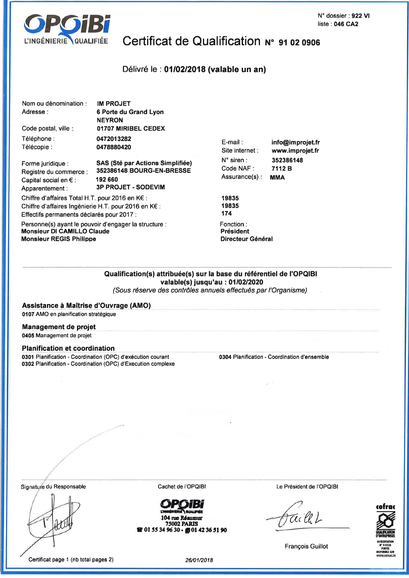

ľ  $\overline{1}$ 

## Certificat de Qualification N° 91 02 0906

#### Délivré le : 01/02/2018 (valable un an)

| Nom ou dénomination :                           | IM PROJET                               |
|-------------------------------------------------|-----------------------------------------|
| Adresse:                                        | 6 Porte du Grand Lyon                   |
|                                                 | <b>NEYRON</b>                           |
| Code postal, ville:                             | 01707 MIRIBEL CEDEX                     |
| Téléphone :                                     | 0472013282                              |
| Télécopie :                                     | 0478880420                              |
| Forme juridique :                               | <b>SAS (Sté par Actions Simplifiée)</b> |
| Registre du commerce :                          | 352386148 BOURG-EN-BRESSE               |
| Capital social en $\epsilon$ :                  | 192 660                                 |
| Apparentement:                                  | <b>3P PROJET - SODEVIM</b>              |
|                                                 |                                         |
| Chiffre d'affaires Total H.T. pour 2016 en K€ : |                                         |

Chiffre d'affaires Ingénierie H.T. pour 2016 en K€ : Effectifs permanents déclarés pour 2017 :

Personne(s) ayant le pouvoir d'engager la structure : **Monsieur DI CAMILLO Claude Monsieur REGIS Philippe** 

E-mail: Site internet : N° siren : Code NAF: Assurance(s):

info@improjet.fr www.improjet.fr 352386148 7112 B **MMA** 

19835 19835  $174$ 

Fonction: Président Directeur Général

#### Qualification(s) attribuée(s) sur la base du référentiel de l'OPQIBI valable(s) jusqu'au : 01/02/2020

(Sous réserve des contrôles annuels effectués par l'Organisme)

Assistance à Maîtrise d'Ouvrage (AMO) 0107 AMO en planification stratégique

#### Management de projet 0405 Management de projet

#### **Planification et coordination**

0301 Planification - Coordination (OPC) d'exécution courant 0302 Planification - Coordination (OPC) d'Execution complexe 0304 Planification - Coordination d'ensemble

Signature du Responsable

Cachet de l'OPQIBI



104 rue Réaumur **75002 PARIS R** 01 55 34 96 30 - **D** 01 42 36 51 90 Le Président de l'OPQIBI

Tec lle L



**François Guillot**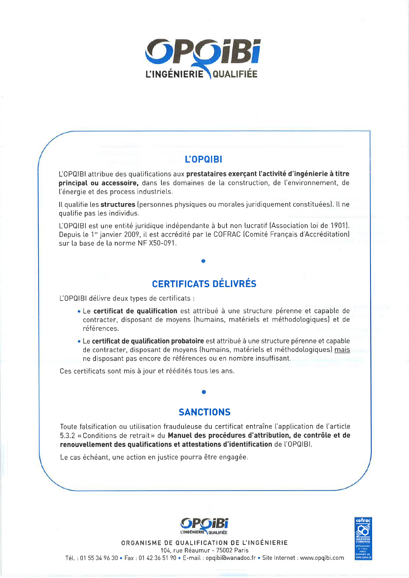

### **L'OPQIBI**

L'OPQIBI attribue des qualifications aux prestataires exerçant l'activité d'ingénierie à titre principal ou accessoire, dans les domaines de la construction, de l'environnement, de l'énergie et des process industriels.

Il qualifie les structures (personnes physiques ou morales juridiquement constituées). Il ne qualifie pas les individus.

L'OPQIBI est une entité juridique indépendante à but non lucratif (Association loi de 1901). Depuis le 1<sup>er</sup> janvier 2009, il est accrédité par le COFRAC (Comité Français d'Accréditation) sur la base de la norme NF X50-091.

## **CERTIFICATS DÉLIVRÉS**

L'OPQIBI délivre deux types de certificats :

- · Le certificat de qualification est attribué à une structure pérenne et capable de contracter, disposant de moyens (humains, matériels et méthodologiques) et de références.
- · Le certificat de qualification probatoire est attribué à une structure pérenne et capable de contracter, disposant de moyens (humains, matériels et méthodologiques) mais ne disposant pas encore de références ou en nombre insuffisant.

Ces certificats sont mis à jour et réédités tous les ans.

### **SANCTIONS**

Toute falsification ou utilisation frauduleuse du certificat entraîne l'application de l'article 5.3.2 « Conditions de retrait » du Manuel des procédures d'attribution, de contrôle et de renouvellement des qualifications et attestations d'identification de l'OPQIBI.

Le cas échéant, une action en justice pourra être engagée.





ORGANISME DE QUALIFICATION DE L'INGÉNIERIE 104, rue Réaumur - 75002 Paris Tél.: 01 55 34 96 30 · Fax: 01 42 36 51 90 · E-mail: opqibi@wanadoo.fr · Site Internet: www.opqibi.com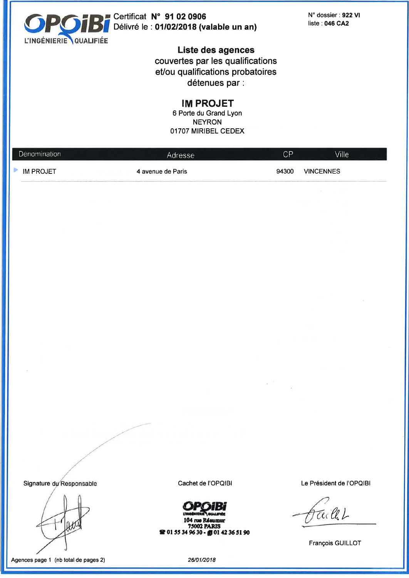

Certificat N° 91 02 0906 Délivré le : 01/02/2018 (valable un an) N° dossier : 922 VI liste: 046 CA2

Liste des agences couvertes par les qualifications et/ou qualifications probatoires détenues par :

**IM PROJET** 

6 Porte du Grand Lyon **NEYRON** 01707 MIRIBEL CEDEX

| Dénomination     | Adresse           | $\mathsf{C}\mathsf{P}$ | Ville <sup>1</sup> |  |
|------------------|-------------------|------------------------|--------------------|--|
| <b>IM PROJET</b> | 4 avenue de Paris | 94300                  | <b>VINCENNES</b>   |  |

Signature du Responsable

Agences page 1 (nb total de pages 2)

Cachet de l'OPQIBI

104 rue Réaumur **75002 PARIS** 2 01 55 34 96 30 - 10 01 42 36 51 90 Le Président de l'OPQIBI

tre lle L

François GUILLOT

26/01/2018